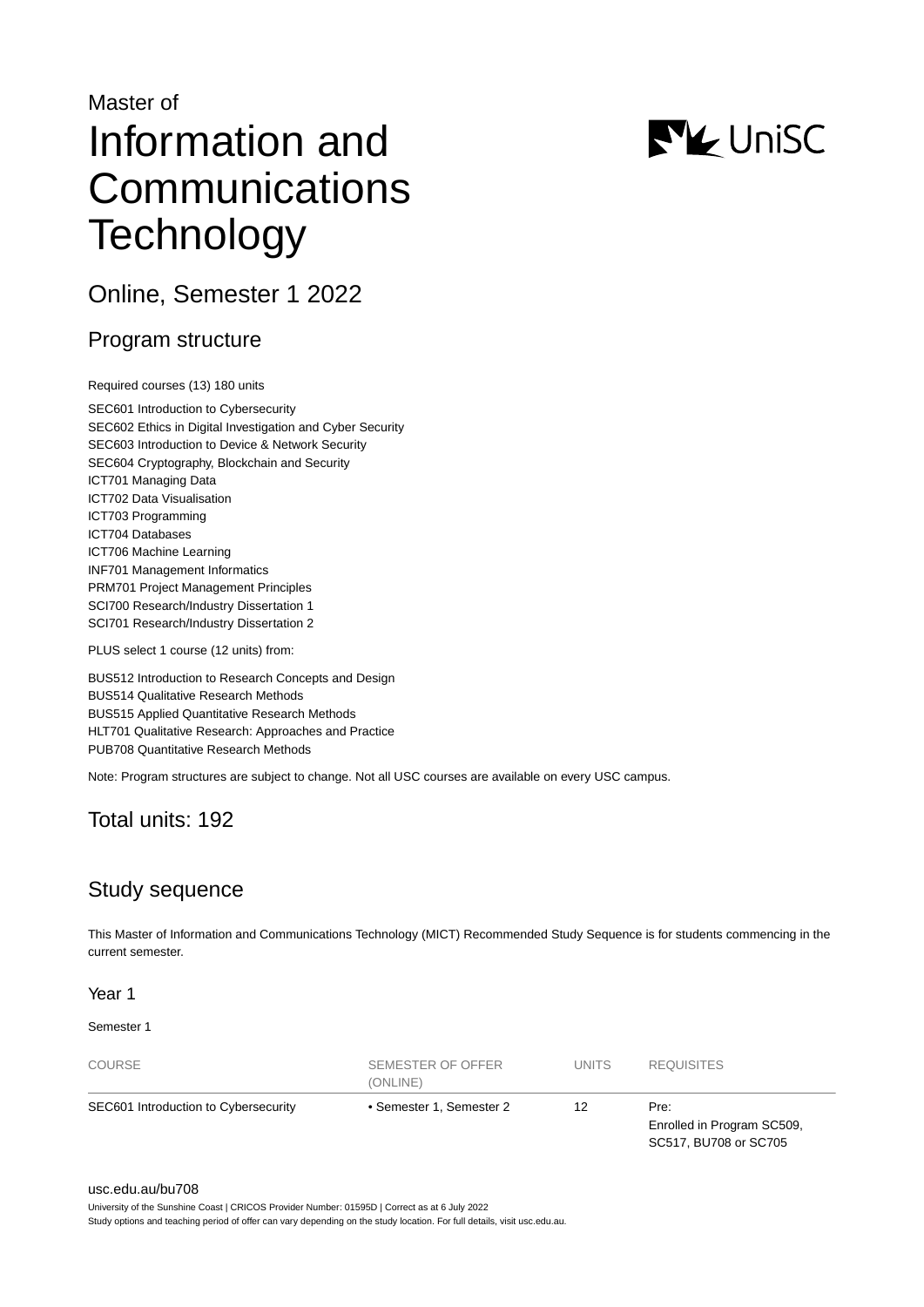# Master of Information and **Communications Technology**

Online, Semester 1 2022

# Program structure

Required courses (13) 180 units

SEC601 Introduction to Cybersecurity SEC602 Ethics in Digital Investigation and Cyber Security SEC603 Introduction to Device & Network Security SEC604 Cryptography, Blockchain and Security ICT701 Managing Data ICT702 Data Visualisation ICT703 Programming ICT704 Databases ICT706 Machine Learning INF701 Management Informatics PRM701 Project Management Principles SCI700 Research/Industry Dissertation 1 SCI701 Research/Industry Dissertation 2

PLUS select 1 course (12 units) from:

BUS512 Introduction to Research Concepts and Design BUS514 Qualitative Research Methods BUS515 Applied Quantitative Research Methods HLT701 Qualitative Research: Approaches and Practice PUB708 Quantitative Research Methods

Note: Program structures are subject to change. Not all USC courses are available on every USC campus.

## Total units: 192

# Study sequence

This Master of Information and Communications Technology (MICT) Recommended Study Sequence is for students commencing in the current semester.

## Year 1

### Semester 1

| <b>COURSE</b>                        | SEMESTER OF OFFER<br>(ONLINE) | <b>UNITS</b> | <b>REQUISITES</b>                                           |
|--------------------------------------|-------------------------------|--------------|-------------------------------------------------------------|
| SEC601 Introduction to Cybersecurity | • Semester 1, Semester 2      | 12           | Pre:<br>Enrolled in Program SC509,<br>SC517, BU708 or SC705 |

# **NV** UniSC

#### [usc.edu.au/bu708](https://www.usc.edu.au/bu708)

University of the Sunshine Coast | CRICOS Provider Number: 01595D | Correct as at 6 July 2022

Study options and teaching period of offer can vary depending on the study location. For full details, visit usc.edu.au.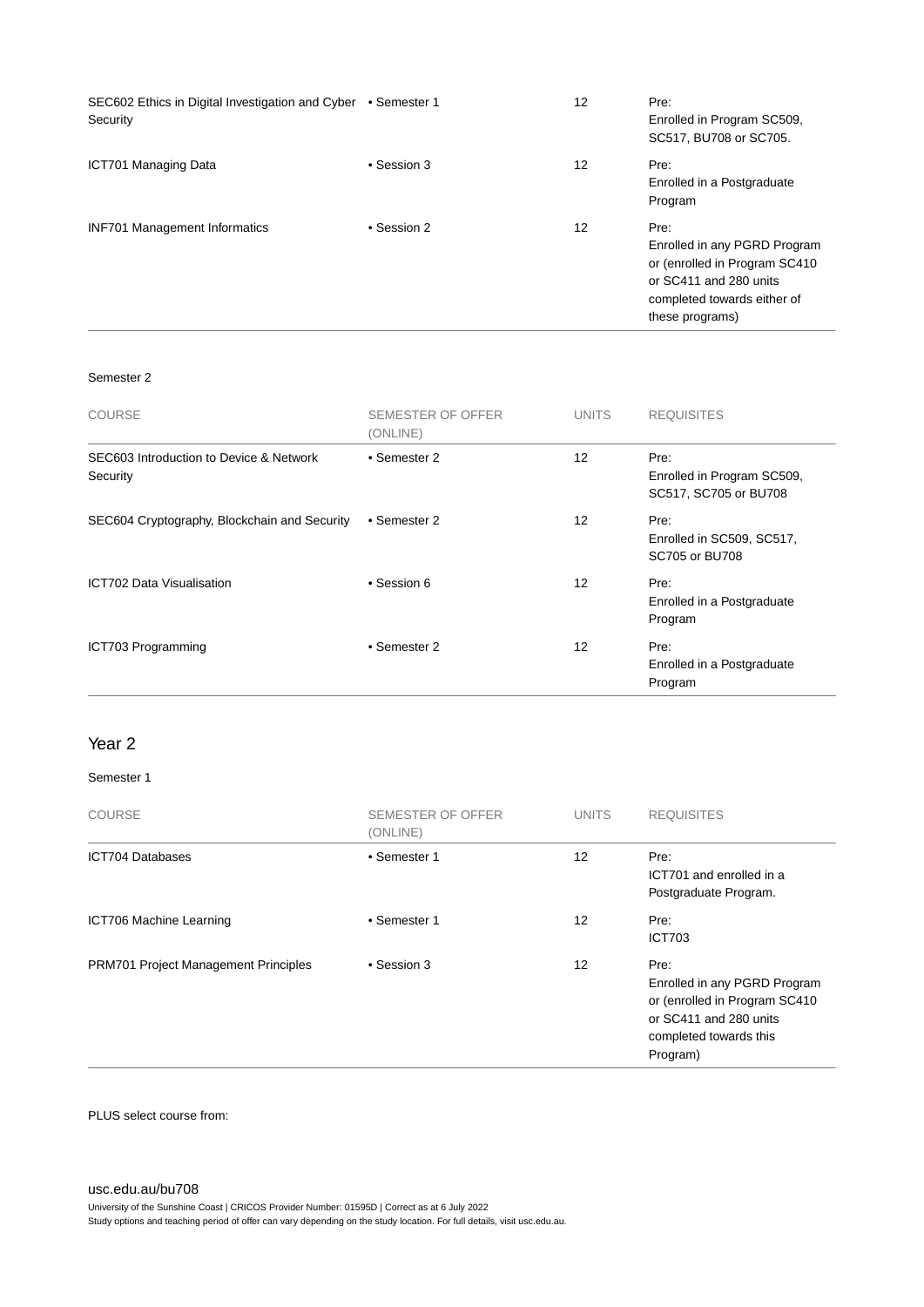| SEC602 Ethics in Digital Investigation and Cyber • Semester 1<br>Security |             | 12 | Pre:<br>Enrolled in Program SC509,<br>SC517, BU708 or SC705.                                                                                       |
|---------------------------------------------------------------------------|-------------|----|----------------------------------------------------------------------------------------------------------------------------------------------------|
| <b>ICT701 Managing Data</b>                                               | • Session 3 | 12 | Pre:<br>Enrolled in a Postgraduate<br>Program                                                                                                      |
| <b>INF701 Management Informatics</b>                                      | • Session 2 | 12 | Pre:<br>Enrolled in any PGRD Program<br>or (enrolled in Program SC410)<br>or SC411 and 280 units<br>completed towards either of<br>these programs) |

## Semester 2

| <b>COURSE</b>                                       | SEMESTER OF OFFER<br>(ONLINE) | <b>UNITS</b> | <b>REQUISITES</b>                                           |
|-----------------------------------------------------|-------------------------------|--------------|-------------------------------------------------------------|
| SEC603 Introduction to Device & Network<br>Security | • Semester 2                  | 12           | Pre:<br>Enrolled in Program SC509,<br>SC517, SC705 or BU708 |
| SEC604 Cryptography, Blockchain and Security        | • Semester 2                  | 12           | Pre:<br>Enrolled in SC509, SC517,<br>SC705 or BU708         |
| ICT702 Data Visualisation                           | • Session 6                   | 12           | Pre:<br>Enrolled in a Postgraduate<br>Program               |
| ICT703 Programming                                  | • Semester 2                  | 12           | Pre:<br>Enrolled in a Postgraduate<br>Program               |

## Year 2

### Semester 1

| <b>COURSE</b>                               | <b>SEMESTER OF OFFER</b><br>(ONLINE) | <b>UNITS</b> | <b>REQUISITES</b>                                                                                                                     |
|---------------------------------------------|--------------------------------------|--------------|---------------------------------------------------------------------------------------------------------------------------------------|
| <b>ICT704 Databases</b>                     | • Semester 1                         | 12           | Pre:<br>ICT701 and enrolled in a<br>Postgraduate Program.                                                                             |
| ICT706 Machine Learning                     | • Semester 1                         | 12           | Pre:<br><b>ICT703</b>                                                                                                                 |
| <b>PRM701 Project Management Principles</b> | • Session 3                          | 12           | Pre:<br>Enrolled in any PGRD Program<br>or (enrolled in Program SC410<br>or SC411 and 280 units<br>completed towards this<br>Program) |

PLUS select course from:

[usc.edu.au/bu708](https://www.usc.edu.au/bu708) University of the Sunshine Coast | CRICOS Provider Number: 01595D | Correct as at 6 July 2022 Study options and teaching period of offer can vary depending on the study location. For full details, visit usc.edu.au.